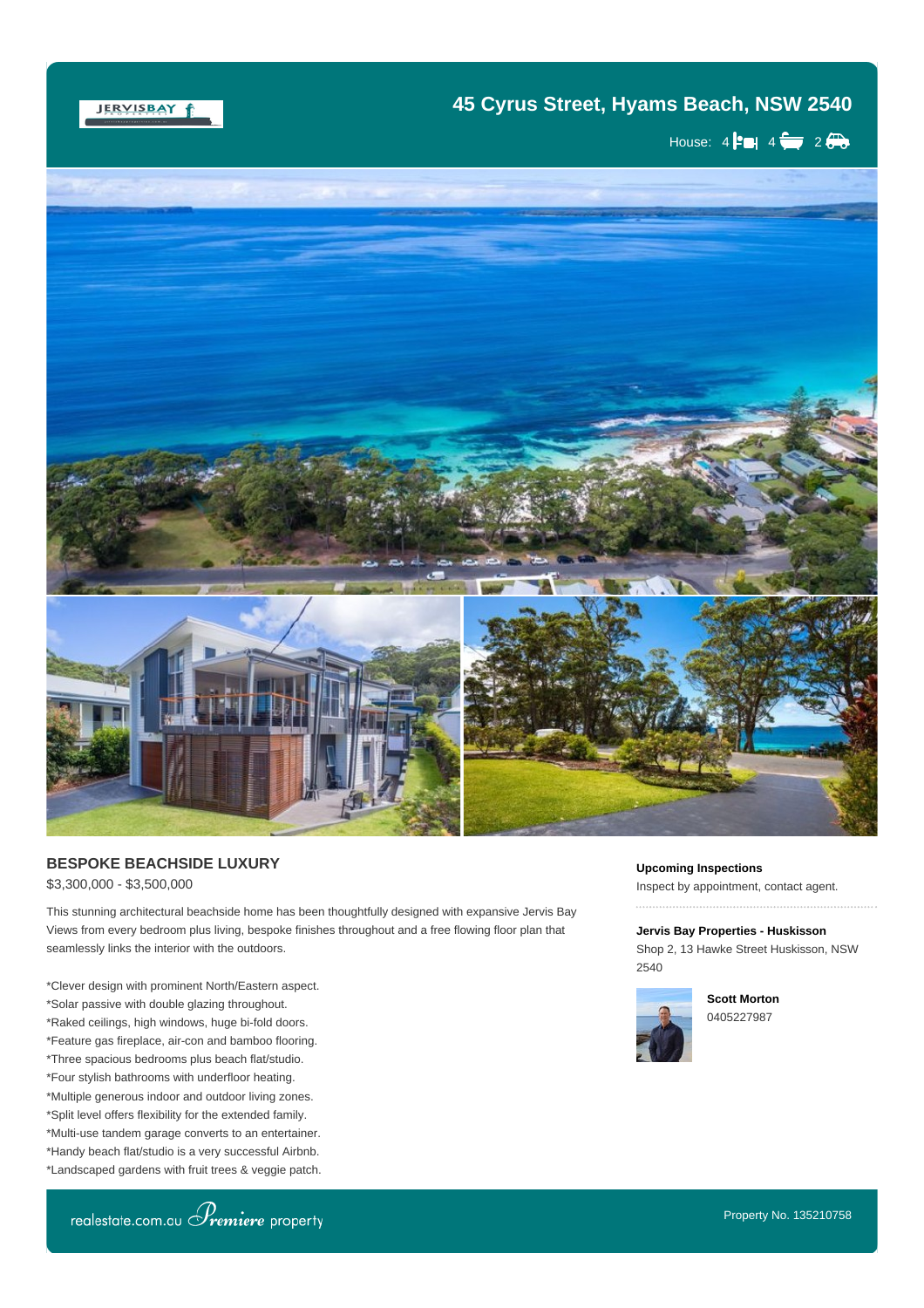## JERVISBAY f

## **45 Cyrus Street, Hyams Beach, NSW 2540**

House:  $4 \div 4 \div 2 \div 2$ 



## **BESPOKE BEACHSIDE LUXURY** \$3,300,000 - \$3,500,000

This stunning architectural beachside home has been thoughtfully designed with expansive Jervis Bay Views from every bedroom plus living, bespoke finishes throughout and a free flowing floor plan that seamlessly links the interior with the outdoors.

when an opportunity such as this unique property arises you certainly need to act  $\alpha$ 

\*Clever design with prominent North/Eastern aspect. \*Solar passive with double glazing throughout. \*Raked ceilings, high windows, huge bi-fold doors. \*Feature gas fireplace, air-con and bamboo flooring. \*Three spacious bedrooms plus beach flat/studio. \*Four stylish bathrooms with underfloor heating. \*Multiple generous indoor and outdoor living zones. \*Split level offers flexibility for the extended family. \*Multi-use tandem garage converts to an entertainer. \*Handy beach flat/studio is a very successful Airbnb. \*Landscaped gardens with fruit trees & veggie patch. **Upcoming Inspections**

Inspect by appointment, contact agent.

**Jervis Bay Properties - Huskisson** Shop 2, 13 Hawke Street Huskisson, NSW 2540



**Scott Morton** 0405227987



\*731m2 block positioned opposite beachfront reserve.